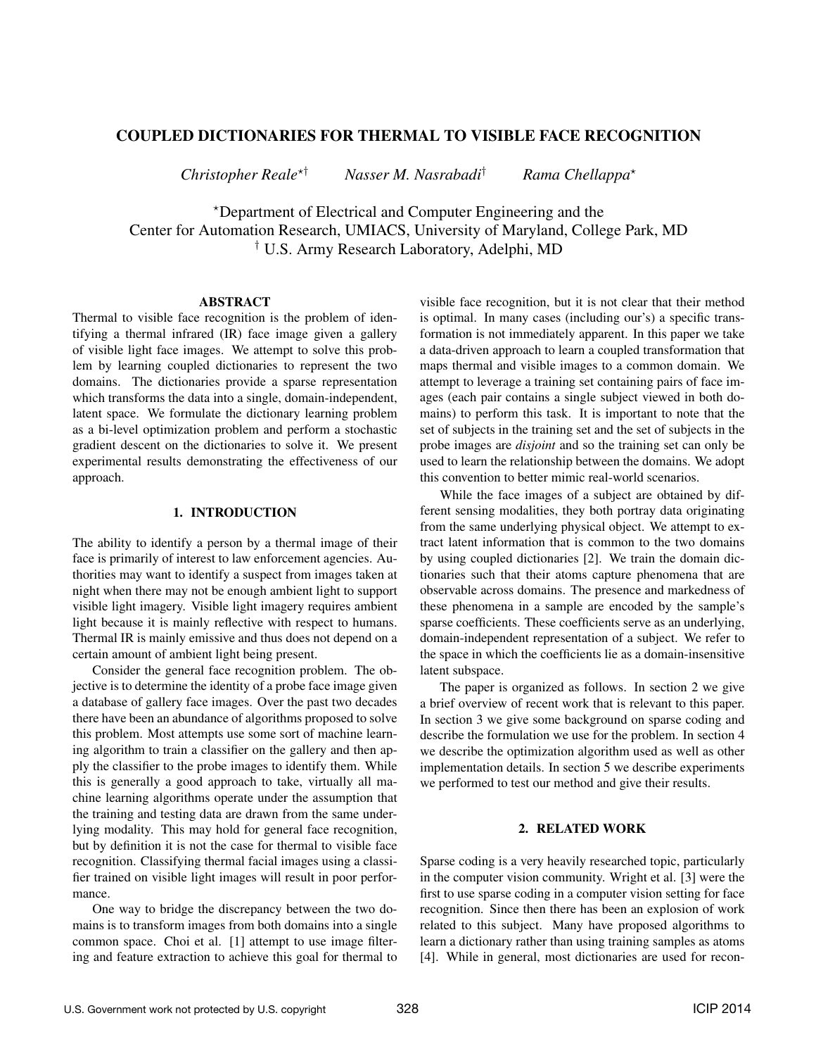# COUPLED DICTIONARIES FOR THERMAL TO VISIBLE FACE RECOGNITION

*Christopher Reale*-† *Nasser M. Nasrabadi*† *Rama Chellappa*-Rama Chellappa<sup>\*</sup>

-Department of Electrical and Computer Engineering and the Center for Automation Research, UMIACS, University of Maryland, College Park, MD † U.S. Army Research Laboratory, Adelphi, MD

## **ABSTRACT**

Thermal to visible face recognition is the problem of identifying a thermal infrared (IR) face image given a gallery of visible light face images. We attempt to solve this problem by learning coupled dictionaries to represent the two domains. The dictionaries provide a sparse representation which transforms the data into a single, domain-independent, latent space. We formulate the dictionary learning problem as a bi-level optimization problem and perform a stochastic gradient descent on the dictionaries to solve it. We present experimental results demonstrating the effectiveness of our approach.

# 1. INTRODUCTION

The ability to identify a person by a thermal image of their face is primarily of interest to law enforcement agencies. Authorities may want to identify a suspect from images taken at night when there may not be enough ambient light to support visible light imagery. Visible light imagery requires ambient light because it is mainly reflective with respect to humans. Thermal IR is mainly emissive and thus does not depend on a certain amount of ambient light being present.

Consider the general face recognition problem. The objective is to determine the identity of a probe face image given a database of gallery face images. Over the past two decades there have been an abundance of algorithms proposed to solve this problem. Most attempts use some sort of machine learning algorithm to train a classifier on the gallery and then apply the classifier to the probe images to identify them. While this is generally a good approach to take, virtually all machine learning algorithms operate under the assumption that the training and testing data are drawn from the same underlying modality. This may hold for general face recognition, but by definition it is not the case for thermal to visible face recognition. Classifying thermal facial images using a classifier trained on visible light images will result in poor performance.

One way to bridge the discrepancy between the two domains is to transform images from both domains into a single common space. Choi et al. [1] attempt to use image filtering and feature extraction to achieve this goal for thermal to

visible face recognition, but it is not clear that their method is optimal. In many cases (including our's) a specific transformation is not immediately apparent. In this paper we take a data-driven approach to learn a coupled transformation that maps thermal and visible images to a common domain. We attempt to leverage a training set containing pairs of face images (each pair contains a single subject viewed in both domains) to perform this task. It is important to note that the set of subjects in the training set and the set of subjects in the probe images are *disjoint* and so the training set can only be used to learn the relationship between the domains. We adopt this convention to better mimic real-world scenarios.

While the face images of a subject are obtained by different sensing modalities, they both portray data originating from the same underlying physical object. We attempt to extract latent information that is common to the two domains by using coupled dictionaries [2]. We train the domain dictionaries such that their atoms capture phenomena that are observable across domains. The presence and markedness of these phenomena in a sample are encoded by the sample's sparse coefficients. These coefficients serve as an underlying, domain-independent representation of a subject. We refer to the space in which the coefficients lie as a domain-insensitive latent subspace.

The paper is organized as follows. In section 2 we give a brief overview of recent work that is relevant to this paper. In section 3 we give some background on sparse coding and describe the formulation we use for the problem. In section 4 we describe the optimization algorithm used as well as other implementation details. In section 5 we describe experiments we performed to test our method and give their results.

## 2. RELATED WORK

Sparse coding is a very heavily researched topic, particularly in the computer vision community. Wright et al. [3] were the first to use sparse coding in a computer vision setting for face recognition. Since then there has been an explosion of work related to this subject. Many have proposed algorithms to learn a dictionary rather than using training samples as atoms [4]. While in general, most dictionaries are used for recon-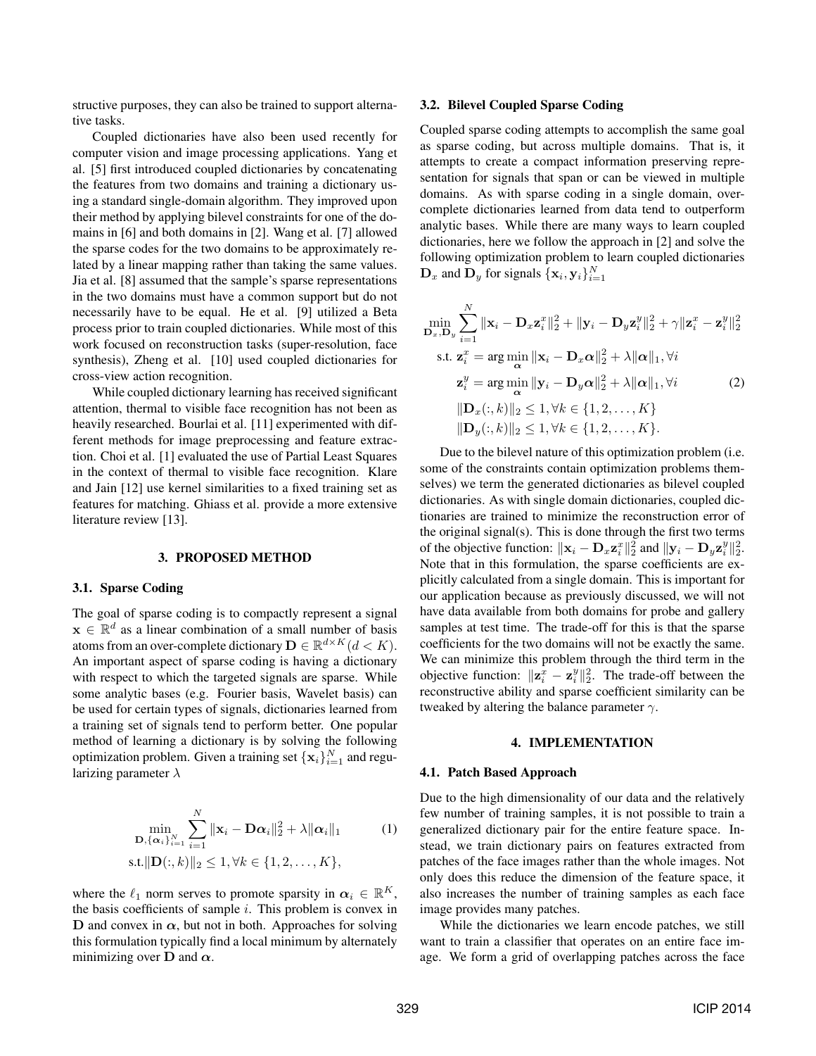structive purposes, they can also be trained to support alternative tasks.

Coupled dictionaries have also been used recently for computer vision and image processing applications. Yang et al. [5] first introduced coupled dictionaries by concatenating the features from two domains and training a dictionary using a standard single-domain algorithm. They improved upon their method by applying bilevel constraints for one of the domains in [6] and both domains in [2]. Wang et al. [7] allowed the sparse codes for the two domains to be approximately related by a linear mapping rather than taking the same values. Jia et al. [8] assumed that the sample's sparse representations in the two domains must have a common support but do not necessarily have to be equal. He et al. [9] utilized a Beta process prior to train coupled dictionaries. While most of this work focused on reconstruction tasks (super-resolution, face synthesis), Zheng et al. [10] used coupled dictionaries for cross-view action recognition.

While coupled dictionary learning has received significant attention, thermal to visible face recognition has not been as heavily researched. Bourlai et al. [11] experimented with different methods for image preprocessing and feature extraction. Choi et al. [1] evaluated the use of Partial Least Squares in the context of thermal to visible face recognition. Klare and Jain [12] use kernel similarities to a fixed training set as features for matching. Ghiass et al. provide a more extensive literature review [13].

### 3. PROPOSED METHOD

#### 3.1. Sparse Coding

The goal of sparse coding is to compactly represent a signal  $\mathbf{x} \in \mathbb{R}^d$  as a linear combination of a small number of basis atoms from an over-complete dictionary  $\mathbf{D} \in \mathbb{R}^{d \times K} (d \lt K)$ . An important aspect of sparse coding is having a dictionary with respect to which the targeted signals are sparse. While some analytic bases (e.g. Fourier basis, Wavelet basis) can be used for certain types of signals, dictionaries learned from a training set of signals tend to perform better. One popular method of learning a dictionary is by solving the following optimization problem. Given a training set  $\{x_i\}_{i=1}^N$  and regularizing parameter  $\lambda$ 

$$
\min_{\mathbf{D}, \{\boldsymbol{\alpha}_i\}_{i=1}^N} \sum_{i=1}^N \|\mathbf{x}_i - \mathbf{D}\boldsymbol{\alpha}_i\|_2^2 + \lambda \|\boldsymbol{\alpha}_i\|_1
$$
\n(1)  
s.t.  $\|\mathbf{D}(:,k)\|_2 \leq 1, \forall k \in \{1, 2, ..., K\},$ 

where the  $\ell_1$  norm serves to promote sparsity in  $\alpha_i \in \mathbb{R}^K$ , the basis coefficients of sample  $i$ . This problem is convex in **D** and convex in  $\alpha$ , but not in both. Approaches for solving this formulation typically find a local minimum by alternately minimizing over  $D$  and  $\alpha$ .

#### 3.2. Bilevel Coupled Sparse Coding

Coupled sparse coding attempts to accomplish the same goal as sparse coding, but across multiple domains. That is, it attempts to create a compact information preserving representation for signals that span or can be viewed in multiple domains. As with sparse coding in a single domain, overcomplete dictionaries learned from data tend to outperform analytic bases. While there are many ways to learn coupled dictionaries, here we follow the approach in [2] and solve the following optimization problem to learn coupled dictionaries  $\mathbf{D}_x$  and  $\mathbf{D}_y$  for signals  $\{\mathbf{x}_i, \mathbf{y}_i\}_{i=1}^N$ 

$$
\min_{\mathbf{D}_x, \mathbf{D}_y} \sum_{i=1}^N \|\mathbf{x}_i - \mathbf{D}_x \mathbf{z}_i^x\|_2^2 + \|\mathbf{y}_i - \mathbf{D}_y \mathbf{z}_i^y\|_2^2 + \gamma \|\mathbf{z}_i^x - \mathbf{z}_i^y\|_2^2
$$
\n
$$
\text{s.t. } \mathbf{z}_i^x = \arg \min_{\alpha} \|\mathbf{x}_i - \mathbf{D}_x \alpha\|_2^2 + \lambda \|\alpha\|_1, \forall i
$$
\n
$$
\mathbf{z}_i^y = \arg \min_{\alpha} \|\mathbf{y}_i - \mathbf{D}_y \alpha\|_2^2 + \lambda \|\alpha\|_1, \forall i
$$
\n
$$
\|\mathbf{D}_x(:,k)\|_2 \le 1, \forall k \in \{1, 2, ..., K\}
$$
\n
$$
\|\mathbf{D}_y(:,k)\|_2 \le 1, \forall k \in \{1, 2, ..., K\}.
$$

Due to the bilevel nature of this optimization problem (i.e. some of the constraints contain optimization problems themselves) we term the generated dictionaries as bilevel coupled dictionaries. As with single domain dictionaries, coupled dictionaries are trained to minimize the reconstruction error of the original signal(s). This is done through the first two terms of the objective function:  $\|\mathbf{x}_i - \mathbf{D}_x \mathbf{z}_i^{\text{z}}\|_2^2$  and  $\|\mathbf{y}_i - \mathbf{D}_y \mathbf{z}_i^{\text{y}}\|_2^2$ . Note that in this formulation, the sparse coefficients are explicitly calculated from a single domain. This is important for our application because as previously discussed, we will not have data available from both domains for probe and gallery samples at test time. The trade-off for this is that the sparse coefficients for the two domains will not be exactly the same. We can minimize this problem through the third term in the objective function:  $\|\mathbf{z}_i^x - \mathbf{z}_i^y\|_2^2$ . The trade-off between the reconstructive ability and sparse coefficient similarity can be tweaked by altering the balance parameter  $\gamma$ .

#### 4. IMPLEMENTATION

#### 4.1. Patch Based Approach

Due to the high dimensionality of our data and the relatively few number of training samples, it is not possible to train a generalized dictionary pair for the entire feature space. Instead, we train dictionary pairs on features extracted from patches of the face images rather than the whole images. Not only does this reduce the dimension of the feature space, it also increases the number of training samples as each face image provides many patches.

While the dictionaries we learn encode patches, we still want to train a classifier that operates on an entire face image. We form a grid of overlapping patches across the face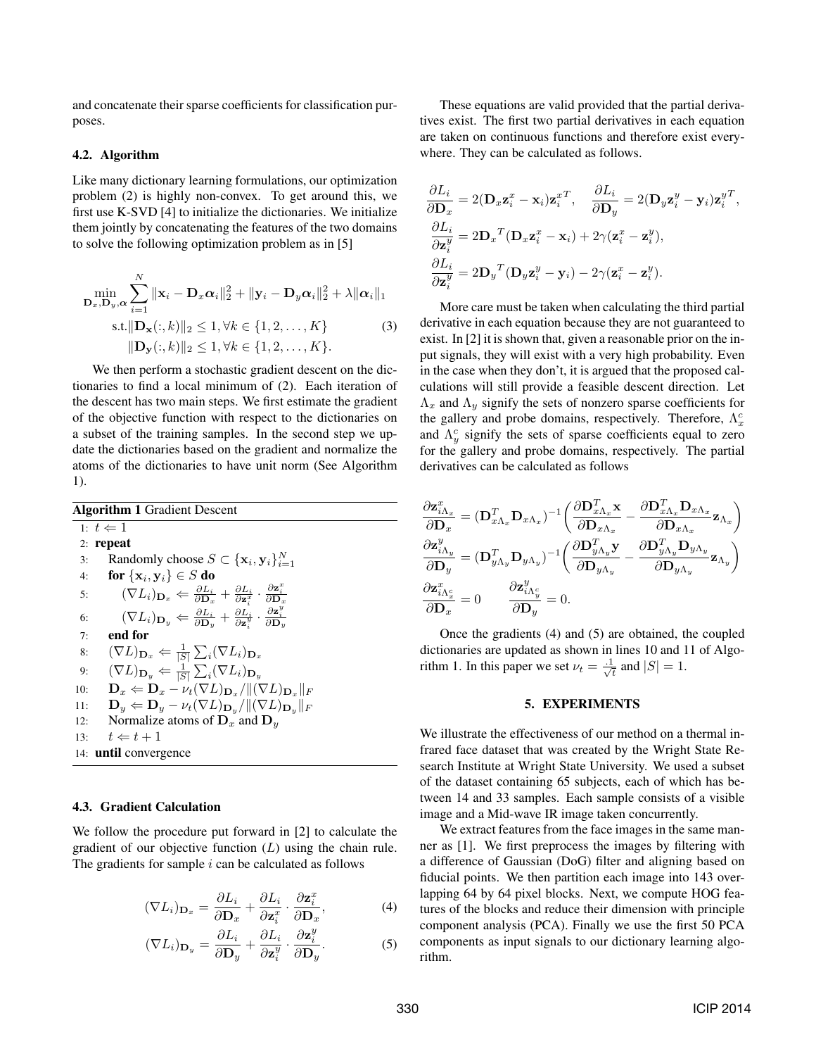and concatenate their sparse coefficients for classification purposes.

### 4.2. Algorithm

Like many dictionary learning formulations, our optimization problem (2) is highly non-convex. To get around this, we first use K-SVD [4] to initialize the dictionaries. We initialize them jointly by concatenating the features of the two domains to solve the following optimization problem as in [5]

$$
\min_{\mathbf{D}_x, \mathbf{D}_y, \mathbf{\alpha}} \sum_{i=1}^N \|\mathbf{x}_i - \mathbf{D}_x \mathbf{\alpha}_i\|_2^2 + \|\mathbf{y}_i - \mathbf{D}_y \mathbf{\alpha}_i\|_2^2 + \lambda \|\mathbf{\alpha}_i\|_1
$$
  
s.t.  $\|\mathbf{D}_\mathbf{x}(:,k)\|_2 \le 1, \forall k \in \{1, 2, ..., K\}$   
 $\|\mathbf{D}_\mathbf{y}(:,k)\|_2 \le 1, \forall k \in \{1, 2, ..., K\}.$  (3)

We then perform a stochastic gradient descent on the dictionaries to find a local minimum of (2). Each iteration of the descent has two main steps. We first estimate the gradient of the objective function with respect to the dictionaries on a subset of the training samples. In the second step we update the dictionaries based on the gradient and normalize the atoms of the dictionaries to have unit norm (See Algorithm 1).

| <b>Algorithm 1 Gradient Descent</b>                                                                                                                                                                |
|----------------------------------------------------------------------------------------------------------------------------------------------------------------------------------------------------|
| 1: $t \Leftarrow 1$                                                                                                                                                                                |
| $2:$ repeat                                                                                                                                                                                        |
| Randomly choose $S \subset \{x_i, y_i\}_{i=1}^N$<br>3:                                                                                                                                             |
| for $\{x_i, y_i\} \in S$ do<br>4:                                                                                                                                                                  |
| $(\nabla L_i)_{\mathbf{D}_x} \Leftarrow \frac{\partial L_i}{\partial \mathbf{D}_x} + \frac{\partial L_i}{\partial \mathbf{z}^x} \cdot \frac{\partial \mathbf{z}^x_i}{\partial \mathbf{D}_x}$<br>5: |
| $(\nabla L_i)_{\mathbf{D}_y} \Leftarrow \frac{\partial L_i}{\partial \mathbf{D}_y} + \frac{\partial L_i}{\partial \mathbf{z}^y} \cdot \frac{\partial \mathbf{z}^y_i}{\partial \mathbf{D}_y}$<br>6: |
| end for<br>7:                                                                                                                                                                                      |
| $(\nabla L)_{\mathbf{D}_x} \Leftarrow \frac{1}{ S } \sum_i (\nabla L_i)_{\mathbf{D}_x}$<br>8:                                                                                                      |
| $(\nabla L)_{\mathbf{D}_y} \Leftarrow \frac{1}{ S } \sum_i (\nabla L_i)_{\mathbf{D}_y}$<br>9:                                                                                                      |
| $\mathbf{D}_x \Leftarrow \mathbf{D}_x - \nu_t(\nabla L)_{\mathbf{D}_x}/\ (\nabla L)_{\mathbf{D}_x}\ _F$<br>10:                                                                                     |
| $\mathbf{D}_y \Leftarrow \mathbf{D}_y - \nu_t(\nabla L)_{\mathbf{D}_y}/\ (\nabla L)_{\mathbf{D}_y}\ _F$<br>11:                                                                                     |
| Normalize atoms of $D_x$ and $D_y$<br>12:                                                                                                                                                          |
| $t \Leftarrow t + 1$<br>13:                                                                                                                                                                        |
| 14: <b>until</b> convergence                                                                                                                                                                       |

### 4.3. Gradient Calculation

We follow the procedure put forward in [2] to calculate the gradient of our objective function  $(L)$  using the chain rule. The gradients for sample  $i$  can be calculated as follows

$$
(\nabla L_i)_{\mathbf{D}_x} = \frac{\partial L_i}{\partial \mathbf{D}_x} + \frac{\partial L_i}{\partial \mathbf{z}_i^x} \cdot \frac{\partial \mathbf{z}_i^x}{\partial \mathbf{D}_x},
$$
(4)

$$
(\nabla L_i)_{\mathbf{D}_y} = \frac{\partial L_i}{\partial \mathbf{D}_y} + \frac{\partial L_i}{\partial \mathbf{z}_i^y} \cdot \frac{\partial \mathbf{z}_i^y}{\partial \mathbf{D}_y}.
$$
 (5)

These equations are valid provided that the partial derivatives exist. The first two partial derivatives in each equation are taken on continuous functions and therefore exist everywhere. They can be calculated as follows.

$$
\begin{aligned}\n\frac{\partial L_i}{\partial \mathbf{D}_x} &= 2(\mathbf{D}_x \mathbf{z}_i^x - \mathbf{x}_i) \mathbf{z}_i^x, \quad \frac{\partial L_i}{\partial \mathbf{D}_y} &= 2(\mathbf{D}_y \mathbf{z}_i^y - \mathbf{y}_i) \mathbf{z}_i^y, \\
\frac{\partial L_i}{\partial \mathbf{z}_i^y} &= 2\mathbf{D}_x^T (\mathbf{D}_x \mathbf{z}_i^x - \mathbf{x}_i) + 2\gamma(\mathbf{z}_i^x - \mathbf{z}_i^y), \\
\frac{\partial L_i}{\partial \mathbf{z}_i^y} &= 2\mathbf{D}_y^T (\mathbf{D}_y \mathbf{z}_i^y - \mathbf{y}_i) - 2\gamma(\mathbf{z}_i^x - \mathbf{z}_i^y).\n\end{aligned}
$$

More care must be taken when calculating the third partial derivative in each equation because they are not guaranteed to exist. In [2] it is shown that, given a reasonable prior on the input signals, they will exist with a very high probability. Even in the case when they don't, it is argued that the proposed calculations will still provide a feasible descent direction. Let  $\Lambda_x$  and  $\Lambda_y$  signify the sets of nonzero sparse coefficients for the gallery and probe domains, respectively. Therefore,  $\Lambda_x^c$ and  $\Lambda_v^c$  signify the sets of sparse coefficients equal to zero for the gallery and probe domains, respectively. The partial derivatives can be calculated as follows

$$
\begin{aligned} &\frac{\partial \mathbf{z}^x_{i\Lambda_x}}{\partial \mathbf{D}_x} = (\mathbf{D}^T_{x\Lambda_x} \mathbf{D}_{x\Lambda_x})^{-1} \bigg( \frac{\partial \mathbf{D}^T_{x\Lambda_x} \mathbf{x}}{\partial \mathbf{D}_{x\Lambda_x}} - \frac{\partial \mathbf{D}^T_{x\Lambda_x} \mathbf{D}_{x\Lambda_x}}{\partial \mathbf{D}_{x\Lambda_x}} \mathbf{z}_{\Lambda_x} \bigg) \\ &\frac{\partial \mathbf{z}^y_{i\Lambda_y}}{\partial \mathbf{D}_y} = (\mathbf{D}^T_{y\Lambda_y} \mathbf{D}_{y\Lambda_y})^{-1} \bigg( \frac{\partial \mathbf{D}^T_{y\Lambda_y} \mathbf{y}}{\partial \mathbf{D}_{y\Lambda_y}} - \frac{\partial \mathbf{D}^T_{y\Lambda_y} \mathbf{D}_{y\Lambda_y}}{\partial \mathbf{D}_{y\Lambda_y}} \mathbf{z}_{\Lambda_y} \bigg) \\ &\frac{\partial \mathbf{z}^x_{i\Lambda_x^c}}{\partial \mathbf{D}_x} = 0 \qquad \frac{\partial \mathbf{z}^y_{i\Lambda_x^c}}{\partial \mathbf{D}_y} = 0. \end{aligned}
$$

Once the gradients (4) and (5) are obtained, the coupled dictionaries are updated as shown in lines 10 and 11 of Algorithm 1. In this paper we set  $\nu_t = \frac{1}{\sqrt{t}}$  and  $|S| = 1$ .

### 5. EXPERIMENTS

We illustrate the effectiveness of our method on a thermal infrared face dataset that was created by the Wright State Research Institute at Wright State University. We used a subset of the dataset containing 65 subjects, each of which has between 14 and 33 samples. Each sample consists of a visible image and a Mid-wave IR image taken concurrently.

We extract features from the face images in the same manner as [1]. We first preprocess the images by filtering with a difference of Gaussian (DoG) filter and aligning based on fiducial points. We then partition each image into 143 overlapping 64 by 64 pixel blocks. Next, we compute HOG features of the blocks and reduce their dimension with principle component analysis (PCA). Finally we use the first 50 PCA components as input signals to our dictionary learning algorithm.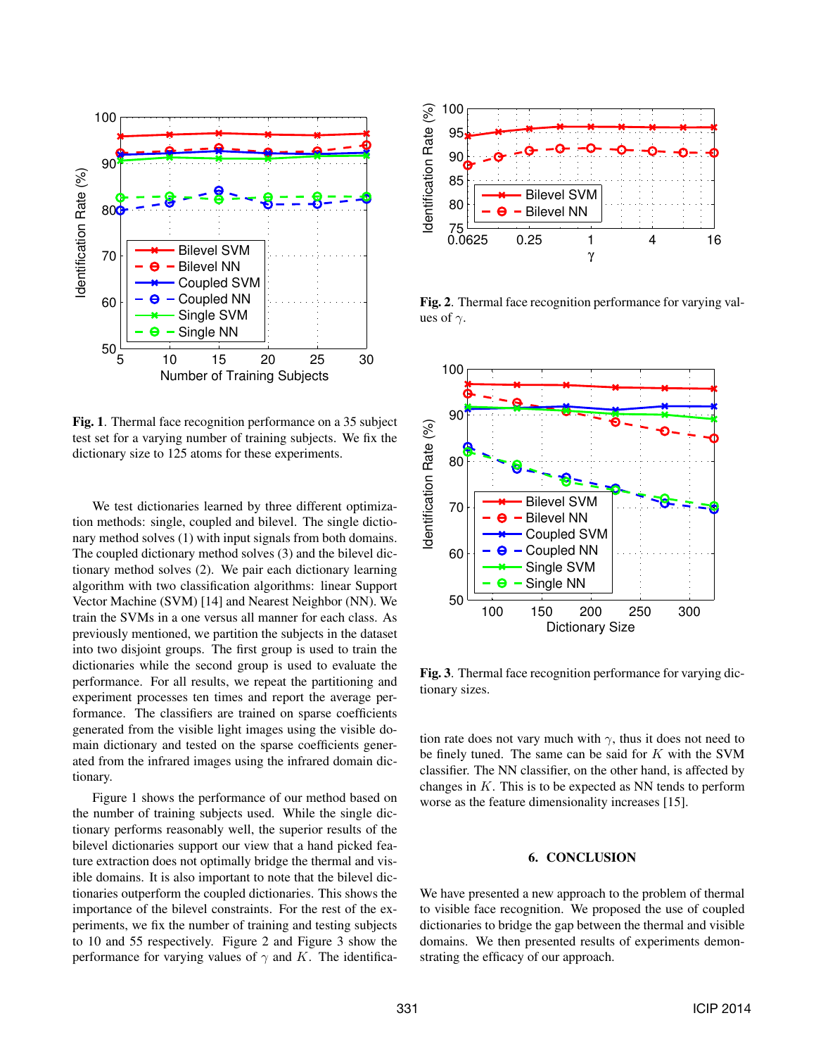

Fig. 1. Thermal face recognition performance on a 35 subject test set for a varying number of training subjects. We fix the dictionary size to 125 atoms for these experiments.

We test dictionaries learned by three different optimization methods: single, coupled and bilevel. The single dictionary method solves (1) with input signals from both domains. The coupled dictionary method solves (3) and the bilevel dictionary method solves (2). We pair each dictionary learning algorithm with two classification algorithms: linear Support Vector Machine (SVM) [14] and Nearest Neighbor (NN). We train the SVMs in a one versus all manner for each class. As previously mentioned, we partition the subjects in the dataset into two disjoint groups. The first group is used to train the dictionaries while the second group is used to evaluate the performance. For all results, we repeat the partitioning and experiment processes ten times and report the average performance. The classifiers are trained on sparse coefficients generated from the visible light images using the visible domain dictionary and tested on the sparse coefficients generated from the infrared images using the infrared domain dictionary.

Figure 1 shows the performance of our method based on the number of training subjects used. While the single dictionary performs reasonably well, the superior results of the bilevel dictionaries support our view that a hand picked feature extraction does not optimally bridge the thermal and visible domains. It is also important to note that the bilevel dictionaries outperform the coupled dictionaries. This shows the importance of the bilevel constraints. For the rest of the experiments, we fix the number of training and testing subjects to 10 and 55 respectively. Figure 2 and Figure 3 show the performance for varying values of  $\gamma$  and K. The identifica-



Fig. 2. Thermal face recognition performance for varying values of  $\gamma$ .



Fig. 3. Thermal face recognition performance for varying dictionary sizes.

tion rate does not vary much with  $\gamma$ , thus it does not need to be finely tuned. The same can be said for K with the SVM classifier. The NN classifier, on the other hand, is affected by changes in  $K$ . This is to be expected as NN tends to perform worse as the feature dimensionality increases [15].

# 6. CONCLUSION

We have presented a new approach to the problem of thermal to visible face recognition. We proposed the use of coupled dictionaries to bridge the gap between the thermal and visible domains. We then presented results of experiments demonstrating the efficacy of our approach.